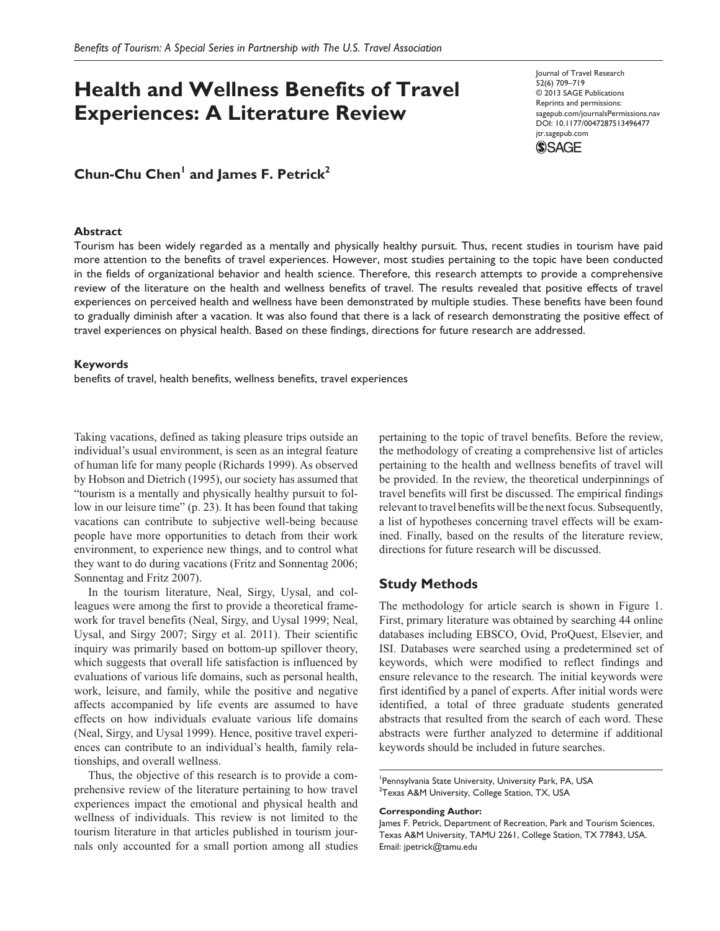# **Health and Wellness Benefits of Travel Experiences: A Literature Review**

## $Chun-Chu Chen<sup>1</sup>$  and James F. Petrick<sup>2</sup>

#### **Abstract**

Journal of Travel Research 52(6) 709–719 © 2013 SAGE Publications Reprints and permissions: sagepub.com/journalsPermissions.nav DOI: 10.1177/0047287513496477 jtr.sagepub.com



Tourism has been widely regarded as a mentally and physically healthy pursuit. Thus, recent studies in tourism have paid more attention to the benefits of travel experiences. However, most studies pertaining to the topic have been conducted in the fields of organizational behavior and health science. Therefore, this research attempts to provide a comprehensive review of the literature on the health and wellness benefits of travel. The results revealed that positive effects of travel experiences on perceived health and wellness have been demonstrated by multiple studies. These benefits have been found to gradually diminish after a vacation. It was also found that there is a lack of research demonstrating the positive effect of travel experiences on physical health. Based on these findings, directions for future research are addressed.

### **Keywords**

benefits of travel, health benefits, wellness benefits, travel experiences

Taking vacations, defined as taking pleasure trips outside an individual's usual environment, is seen as an integral feature of human life for many people (Richards 1999). As observed by Hobson and Dietrich (1995), our society has assumed that "tourism is a mentally and physically healthy pursuit to follow in our leisure time" (p. 23). It has been found that taking vacations can contribute to subjective well-being because people have more opportunities to detach from their work environment, to experience new things, and to control what they want to do during vacations (Fritz and Sonnentag 2006; Sonnentag and Fritz 2007).

In the tourism literature, Neal, Sirgy, Uysal, and colleagues were among the first to provide a theoretical framework for travel benefits (Neal, Sirgy, and Uysal 1999; Neal, Uysal, and Sirgy 2007; Sirgy et al. 2011). Their scientific inquiry was primarily based on bottom-up spillover theory, which suggests that overall life satisfaction is influenced by evaluations of various life domains, such as personal health, work, leisure, and family, while the positive and negative affects accompanied by life events are assumed to have effects on how individuals evaluate various life domains (Neal, Sirgy, and Uysal 1999). Hence, positive travel experiences can contribute to an individual's health, family relationships, and overall wellness.

Thus, the objective of this research is to provide a comprehensive review of the literature pertaining to how travel experiences impact the emotional and physical health and wellness of individuals. This review is not limited to the tourism literature in that articles published in tourism journals only accounted for a small portion among all studies pertaining to the topic of travel benefits. Before the review, the methodology of creating a comprehensive list of articles pertaining to the health and wellness benefits of travel will be provided. In the review, the theoretical underpinnings of travel benefits will first be discussed. The empirical findings relevant to travel benefits will be the next focus. Subsequently, a list of hypotheses concerning travel effects will be examined. Finally, based on the results of the literature review, directions for future research will be discussed.

## **Study Methods**

The methodology for article search is shown in Figure 1. First, primary literature was obtained by searching 44 online databases including EBSCO, Ovid, ProQuest, Elsevier, and ISI. Databases were searched using a predetermined set of keywords, which were modified to reflect findings and ensure relevance to the research. The initial keywords were first identified by a panel of experts. After initial words were identified, a total of three graduate students generated abstracts that resulted from the search of each word. These abstracts were further analyzed to determine if additional keywords should be included in future searches.

#### **Corresponding Author:**

James F. Petrick, Department of Recreation, Park and Tourism Sciences, Texas A&M University, TAMU 2261, College Station, TX 77843, USA. Email: jpetrick@tamu.edu

<sup>1</sup> Pennsylvania State University, University Park, PA, USA  $^{2}$ Texas A&M University, College Station, TX, USA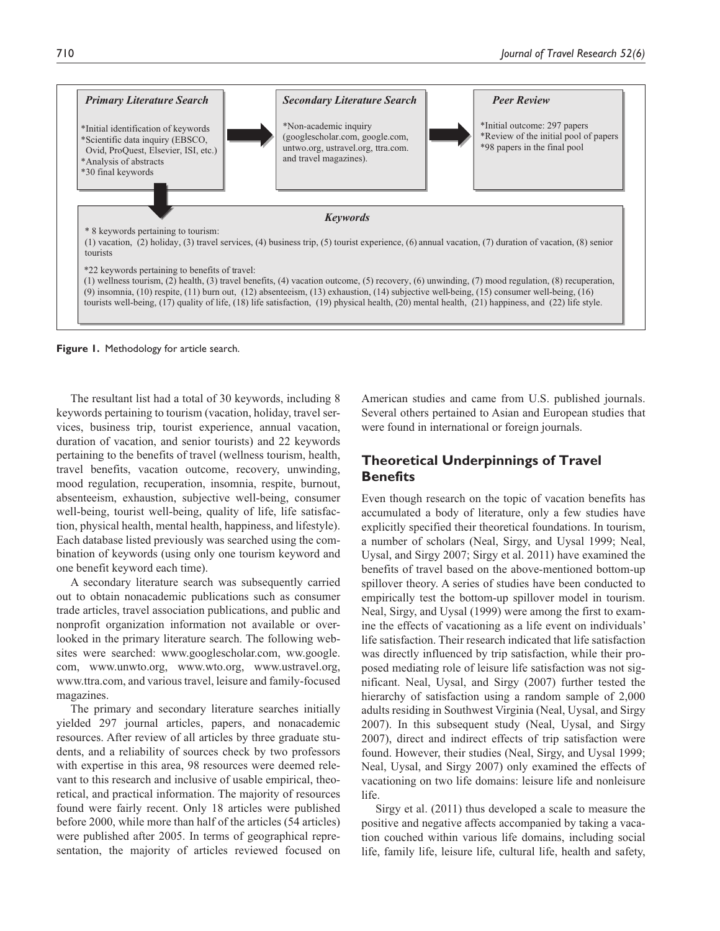

**Figure 1.** Methodology for article search.

The resultant list had a total of 30 keywords, including 8 keywords pertaining to tourism (vacation, holiday, travel services, business trip, tourist experience, annual vacation, duration of vacation, and senior tourists) and 22 keywords pertaining to the benefits of travel (wellness tourism, health, travel benefits, vacation outcome, recovery, unwinding, mood regulation, recuperation, insomnia, respite, burnout, absenteeism, exhaustion, subjective well-being, consumer well-being, tourist well-being, quality of life, life satisfaction, physical health, mental health, happiness, and lifestyle). Each database listed previously was searched using the combination of keywords (using only one tourism keyword and one benefit keyword each time).

A secondary literature search was subsequently carried out to obtain nonacademic publications such as consumer trade articles, travel association publications, and public and nonprofit organization information not available or overlooked in the primary literature search. The following websites were searched: www.googlescholar.com, ww.google. com, www.unwto.org, www.wto.org, www.ustravel.org, www.ttra.com, and various travel, leisure and family-focused magazines.

The primary and secondary literature searches initially yielded 297 journal articles, papers, and nonacademic resources. After review of all articles by three graduate students, and a reliability of sources check by two professors with expertise in this area, 98 resources were deemed relevant to this research and inclusive of usable empirical, theoretical, and practical information. The majority of resources found were fairly recent. Only 18 articles were published before 2000, while more than half of the articles (54 articles) were published after 2005. In terms of geographical representation, the majority of articles reviewed focused on

American studies and came from U.S. published journals. Several others pertained to Asian and European studies that were found in international or foreign journals.

## **Theoretical Underpinnings of Travel Benefits**

Even though research on the topic of vacation benefits has accumulated a body of literature, only a few studies have explicitly specified their theoretical foundations. In tourism, a number of scholars (Neal, Sirgy, and Uysal 1999; Neal, Uysal, and Sirgy 2007; Sirgy et al. 2011) have examined the benefits of travel based on the above-mentioned bottom-up spillover theory. A series of studies have been conducted to empirically test the bottom-up spillover model in tourism. Neal, Sirgy, and Uysal (1999) were among the first to examine the effects of vacationing as a life event on individuals' life satisfaction. Their research indicated that life satisfaction was directly influenced by trip satisfaction, while their proposed mediating role of leisure life satisfaction was not significant. Neal, Uysal, and Sirgy (2007) further tested the hierarchy of satisfaction using a random sample of 2,000 adults residing in Southwest Virginia (Neal, Uysal, and Sirgy 2007). In this subsequent study (Neal, Uysal, and Sirgy 2007), direct and indirect effects of trip satisfaction were found. However, their studies (Neal, Sirgy, and Uysal 1999; Neal, Uysal, and Sirgy 2007) only examined the effects of vacationing on two life domains: leisure life and nonleisure life.

Sirgy et al. (2011) thus developed a scale to measure the positive and negative affects accompanied by taking a vacation couched within various life domains, including social life, family life, leisure life, cultural life, health and safety,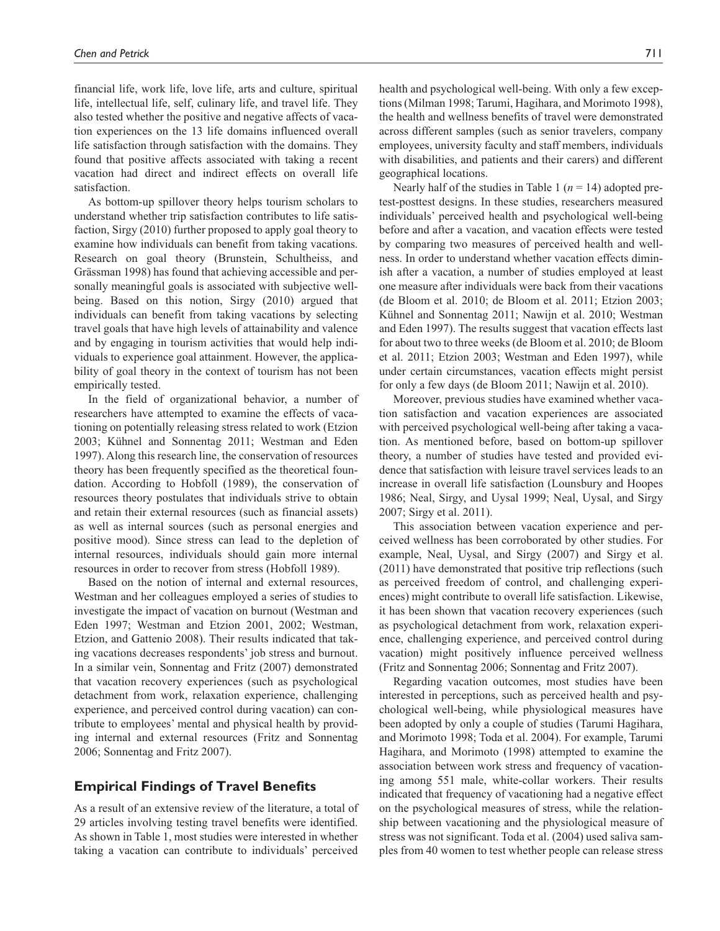financial life, work life, love life, arts and culture, spiritual life, intellectual life, self, culinary life, and travel life. They also tested whether the positive and negative affects of vacation experiences on the 13 life domains influenced overall life satisfaction through satisfaction with the domains. They found that positive affects associated with taking a recent vacation had direct and indirect effects on overall life satisfaction.

As bottom-up spillover theory helps tourism scholars to understand whether trip satisfaction contributes to life satisfaction, Sirgy (2010) further proposed to apply goal theory to examine how individuals can benefit from taking vacations. Research on goal theory (Brunstein, Schultheiss, and Grässman 1998) has found that achieving accessible and personally meaningful goals is associated with subjective wellbeing. Based on this notion, Sirgy (2010) argued that individuals can benefit from taking vacations by selecting travel goals that have high levels of attainability and valence and by engaging in tourism activities that would help individuals to experience goal attainment. However, the applicability of goal theory in the context of tourism has not been empirically tested.

In the field of organizational behavior, a number of researchers have attempted to examine the effects of vacationing on potentially releasing stress related to work (Etzion 2003; Kühnel and Sonnentag 2011; Westman and Eden 1997). Along this research line, the conservation of resources theory has been frequently specified as the theoretical foundation. According to Hobfoll (1989), the conservation of resources theory postulates that individuals strive to obtain and retain their external resources (such as financial assets) as well as internal sources (such as personal energies and positive mood). Since stress can lead to the depletion of internal resources, individuals should gain more internal resources in order to recover from stress (Hobfoll 1989).

Based on the notion of internal and external resources, Westman and her colleagues employed a series of studies to investigate the impact of vacation on burnout (Westman and Eden 1997; Westman and Etzion 2001, 2002; Westman, Etzion, and Gattenio 2008). Their results indicated that taking vacations decreases respondents' job stress and burnout. In a similar vein, Sonnentag and Fritz (2007) demonstrated that vacation recovery experiences (such as psychological detachment from work, relaxation experience, challenging experience, and perceived control during vacation) can contribute to employees' mental and physical health by providing internal and external resources (Fritz and Sonnentag 2006; Sonnentag and Fritz 2007).

## **Empirical Findings of Travel Benefits**

As a result of an extensive review of the literature, a total of 29 articles involving testing travel benefits were identified. As shown in Table 1, most studies were interested in whether taking a vacation can contribute to individuals' perceived

health and psychological well-being. With only a few exceptions (Milman 1998; Tarumi, Hagihara, and Morimoto 1998), the health and wellness benefits of travel were demonstrated across different samples (such as senior travelers, company employees, university faculty and staff members, individuals with disabilities, and patients and their carers) and different geographical locations.

Nearly half of the studies in Table 1 ( $n = 14$ ) adopted pretest-posttest designs. In these studies, researchers measured individuals' perceived health and psychological well-being before and after a vacation, and vacation effects were tested by comparing two measures of perceived health and wellness. In order to understand whether vacation effects diminish after a vacation, a number of studies employed at least one measure after individuals were back from their vacations (de Bloom et al. 2010; de Bloom et al. 2011; Etzion 2003; Kühnel and Sonnentag 2011; Nawijn et al. 2010; Westman and Eden 1997). The results suggest that vacation effects last for about two to three weeks (de Bloom et al. 2010; de Bloom et al. 2011; Etzion 2003; Westman and Eden 1997), while under certain circumstances, vacation effects might persist for only a few days (de Bloom 2011; Nawijn et al. 2010).

Moreover, previous studies have examined whether vacation satisfaction and vacation experiences are associated with perceived psychological well-being after taking a vacation. As mentioned before, based on bottom-up spillover theory, a number of studies have tested and provided evidence that satisfaction with leisure travel services leads to an increase in overall life satisfaction (Lounsbury and Hoopes 1986; Neal, Sirgy, and Uysal 1999; Neal, Uysal, and Sirgy 2007; Sirgy et al. 2011).

This association between vacation experience and perceived wellness has been corroborated by other studies. For example, Neal, Uysal, and Sirgy (2007) and Sirgy et al. (2011) have demonstrated that positive trip reflections (such as perceived freedom of control, and challenging experiences) might contribute to overall life satisfaction. Likewise, it has been shown that vacation recovery experiences (such as psychological detachment from work, relaxation experience, challenging experience, and perceived control during vacation) might positively influence perceived wellness (Fritz and Sonnentag 2006; Sonnentag and Fritz 2007).

Regarding vacation outcomes, most studies have been interested in perceptions, such as perceived health and psychological well-being, while physiological measures have been adopted by only a couple of studies (Tarumi Hagihara, and Morimoto 1998; Toda et al. 2004). For example, Tarumi Hagihara, and Morimoto (1998) attempted to examine the association between work stress and frequency of vacationing among 551 male, white-collar workers. Their results indicated that frequency of vacationing had a negative effect on the psychological measures of stress, while the relationship between vacationing and the physiological measure of stress was not significant. Toda et al. (2004) used saliva samples from 40 women to test whether people can release stress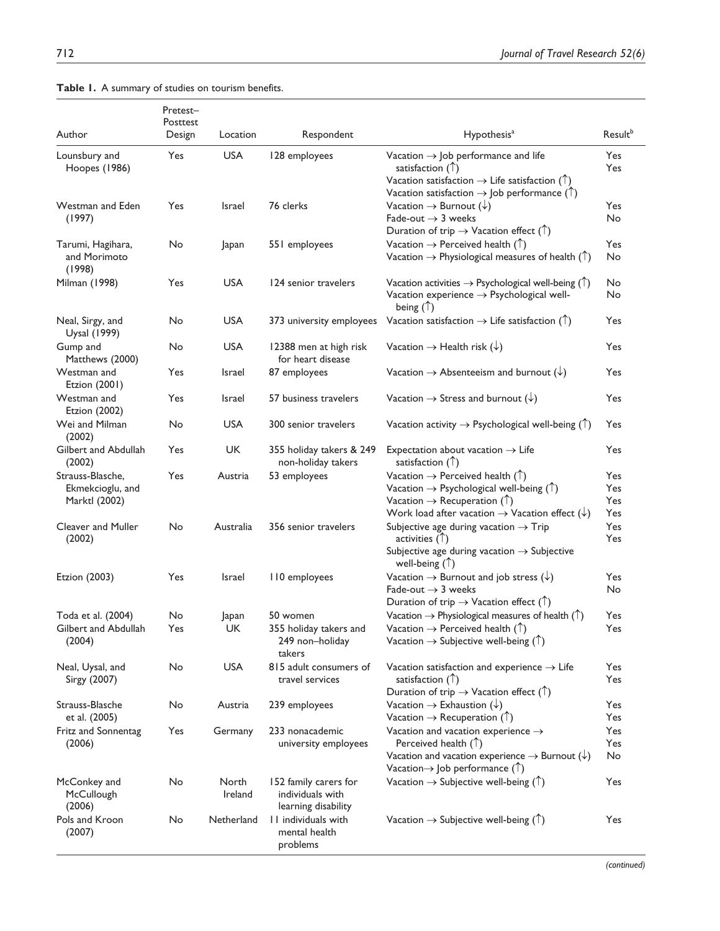| Author                                                | Pretest-<br>Posttest<br>Design | Location         | Respondent                                                       | Hypothesis <sup>a</sup>                                                                                                                                                                                                                      | Result <sup>b</sup>      |
|-------------------------------------------------------|--------------------------------|------------------|------------------------------------------------------------------|----------------------------------------------------------------------------------------------------------------------------------------------------------------------------------------------------------------------------------------------|--------------------------|
| Lounsbury and                                         | Yes                            | <b>USA</b>       | 128 employees                                                    | Vacation $\rightarrow$ Job performance and life                                                                                                                                                                                              | <b>Yes</b>               |
| Hoopes (1986)                                         |                                |                  |                                                                  | satisfaction $(\uparrow)$<br>Vacation satisfaction $\rightarrow$ Life satisfaction ( $\uparrow$ )                                                                                                                                            | <b>Yes</b>               |
|                                                       |                                |                  |                                                                  | Vacation satisfaction $\rightarrow$ Job performance ( $\uparrow$ )                                                                                                                                                                           |                          |
| Westman and Eden<br>(1997)                            | Yes                            | Israel           | 76 clerks                                                        | Vacation $\rightarrow$ Burnout ( $\downarrow$ )<br>Fade-out $\rightarrow$ 3 weeks<br>Duration of trip $\rightarrow$ Vacation effect ( $\uparrow$ )                                                                                           | Yes<br>No                |
| Tarumi, Hagihara,<br>and Morimoto<br>(1998)           | No                             | Japan            | 551 employees                                                    | Vacation $\rightarrow$ Perceived health ( $\uparrow$ )<br>Vacation $\rightarrow$ Physiological measures of health ( $\uparrow$ )                                                                                                             | Yes<br>No                |
| Milman (1998)                                         | Yes                            | <b>USA</b>       | 124 senior travelers                                             | Vacation activities $\rightarrow$ Psychological well-being ( $\uparrow$ )<br>Vacation experience $\rightarrow$ Psychological well-<br>being $(\uparrow)$                                                                                     | No<br>No                 |
| Neal, Sirgy, and<br>Uysal (1999)                      | No                             | <b>USA</b>       | 373 university employees                                         | Vacation satisfaction $\rightarrow$ Life satisfaction ( $\uparrow$ )                                                                                                                                                                         | Yes                      |
| Gump and<br>Matthews (2000)                           | No                             | <b>USA</b>       | 12388 men at high risk<br>for heart disease                      | Vacation $\rightarrow$ Health risk ( $\downarrow$ )                                                                                                                                                                                          | Yes                      |
| Westman and<br>Etzion (2001)                          | Yes                            | Israel           | 87 employees                                                     | Vacation $\rightarrow$ Absenteeism and burnout $(\downarrow)$                                                                                                                                                                                | Yes                      |
| Westman and<br><b>Etzion (2002)</b>                   | Yes                            | Israel           | 57 business travelers                                            | Vacation $\rightarrow$ Stress and burnout ( $\downarrow$ )                                                                                                                                                                                   | Yes                      |
| Wei and Milman<br>(2002)                              | No                             | <b>USA</b>       | 300 senior travelers                                             | Vacation activity $\rightarrow$ Psychological well-being ( $\uparrow$ )                                                                                                                                                                      | Yes                      |
| Gilbert and Abdullah<br>(2002)                        | Yes                            | <b>UK</b>        | 355 holiday takers & 249<br>non-holiday takers                   | Expectation about vacation $\rightarrow$ Life<br>satisfaction $(\uparrow)$                                                                                                                                                                   | Yes                      |
| Strauss-Blasche,<br>Ekmekcioglu, and<br>Marktl (2002) | Yes                            | Austria          | 53 employees                                                     | Vacation $\rightarrow$ Perceived health ( $\uparrow$ )<br>Vacation $\rightarrow$ Psychological well-being (1)<br>Vacation $\rightarrow$ Recuperation ( $\uparrow$ )<br>Work load after vacation $\rightarrow$ Vacation effect $(\downarrow)$ | Yes<br>Yes<br>Yes<br>Yes |
| Cleaver and Muller<br>(2002)                          | No                             | Australia        | 356 senior travelers                                             | <b>Yes</b><br>Subjective age during vacation $\rightarrow$ Trip<br>activities $(\uparrow)$<br>Yes<br>Subjective age during vacation $\rightarrow$ Subjective<br>well-being $(\uparrow)$                                                      |                          |
| Etzion (2003)                                         | Yes                            | Israel           | 110 employees                                                    | Vacation $\rightarrow$ Burnout and job stress $(\downarrow)$<br>Fade-out $\rightarrow$ 3 weeks<br>Duration of trip $\rightarrow$ Vacation effect ( $\uparrow$ )                                                                              | Yes<br>No                |
| Toda et al. (2004)                                    | No                             | apan             | 50 women                                                         | Vacation $\rightarrow$ Physiological measures of health ( $\uparrow$ )                                                                                                                                                                       | Yes                      |
| Gilbert and Abdullah<br>(2004)                        | Yes                            | UK               | 355 holiday takers and<br>249 non-holiday<br>takers              | Vacation $\rightarrow$ Perceived health ( $\uparrow$ )<br>Vacation $\rightarrow$ Subjective well-being ( $\uparrow$ )                                                                                                                        |                          |
| Neal, Uysal, and<br>Sirgy (2007)                      | No                             | <b>USA</b>       | 815 adult consumers of<br>travel services                        | Vacation satisfaction and experience $\rightarrow$ Life<br>satisfaction $(\uparrow)$<br>Duration of trip $\rightarrow$ Vacation effect ( $\uparrow$ )                                                                                        | Yes<br>Yes               |
| Strauss-Blasche<br>et al. (2005)                      | No                             | Austria          | 239 employees                                                    | Vacation $\rightarrow$ Exhaustion ( $\downarrow$ )<br>Vacation $\rightarrow$ Recuperation ( $\uparrow$ )                                                                                                                                     | Yes<br>Yes               |
| Fritz and Sonnentag<br>(2006)                         | Yes                            | Germany          | 233 nonacademic<br>university employees                          | Vacation and vacation experience $\rightarrow$<br>Perceived health $($ $)$<br>Vacation and vacation experience $\rightarrow$ Burnout ( $\downarrow$ )<br>Vacation $\rightarrow$ Job performance ( $\uparrow$ )                               |                          |
| McConkey and<br>McCullough<br>(2006)                  | No                             | North<br>Ireland | 152 family carers for<br>individuals with<br>learning disability | Vacation $\rightarrow$ Subjective well-being ( $\uparrow$ )                                                                                                                                                                                  | Yes                      |
| Pols and Kroon<br>(2007)                              | No                             | Netherland       | II individuals with<br>mental health<br>problems                 | Vacation $\rightarrow$ Subjective well-being ( $\uparrow$ )                                                                                                                                                                                  | Yes                      |

## **Table 1.** A summary of studies on tourism benefits.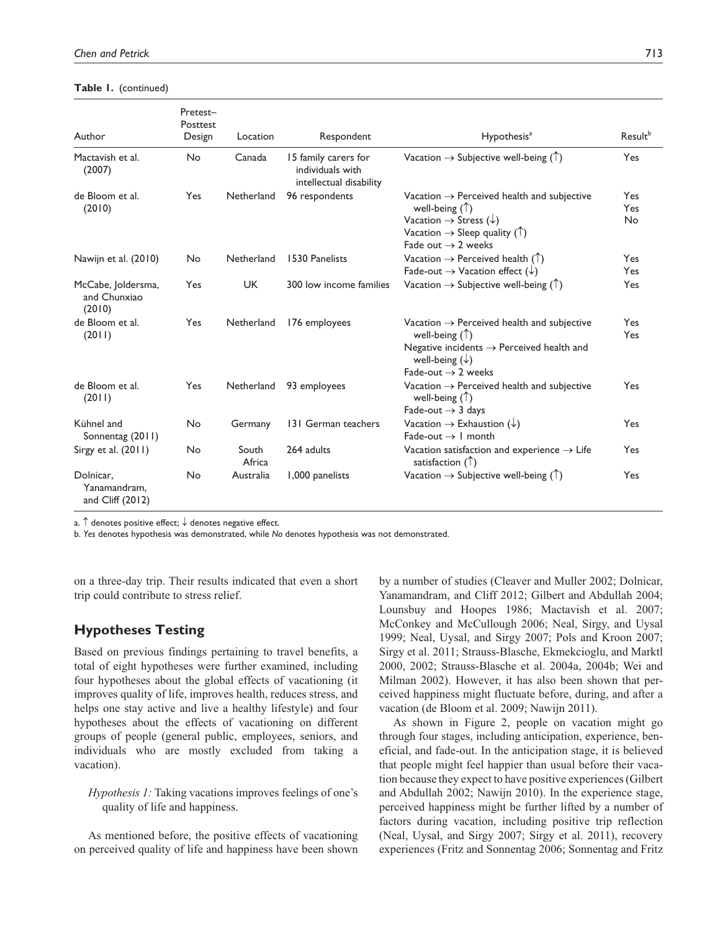| <b>Table I.</b> (continued) |  |
|-----------------------------|--|
|-----------------------------|--|

|                                               | Pretest-<br>Posttest |                 |                                                                     |                                                                                                                                                                                                                              |                         |
|-----------------------------------------------|----------------------|-----------------|---------------------------------------------------------------------|------------------------------------------------------------------------------------------------------------------------------------------------------------------------------------------------------------------------------|-------------------------|
| Author                                        | Design               | Location        | Respondent                                                          | Hypothesis <sup>a</sup>                                                                                                                                                                                                      | Result <sup>b</sup>     |
| Mactavish et al.<br>(2007)                    | No                   | Canada          | 15 family carers for<br>individuals with<br>intellectual disability | Vacation $\rightarrow$ Subjective well-being ( $\uparrow$ )                                                                                                                                                                  | Yes                     |
| de Bloom et al.<br>(2010)                     | <b>Yes</b>           | Netherland      | 96 respondents                                                      | Vacation $\rightarrow$ Perceived health and subjective<br>well-being $(\uparrow)$<br>Vacation $\rightarrow$ Stress ( $\downarrow$ )<br>Vacation $\rightarrow$ Sleep quality ( $\uparrow$ )<br>Fade out $\rightarrow$ 2 weeks | Yes<br>Yes<br><b>No</b> |
| Nawijn et al. (2010)                          | No                   | Netherland      | 1530 Panelists                                                      | Vacation $\rightarrow$ Perceived health ( $\uparrow$ )<br>Fade-out $\rightarrow$ Vacation effect ( $\downarrow$ )                                                                                                            | Yes<br>Yes              |
| McCabe, Joldersma,<br>and Chunxiao<br>(2010)  | Yes                  | <b>UK</b>       | 300 low income families                                             | Vacation $\rightarrow$ Subjective well-being (1)                                                                                                                                                                             | Yes                     |
| de Bloom et al.<br>(2011)                     | <b>Yes</b>           | Netherland      | 176 employees                                                       | Vacation $\rightarrow$ Perceived health and subjective<br>well-being $(\uparrow)$<br>Negative incidents $\rightarrow$ Perceived health and<br>well-being $(\downarrow)$<br>Fade-out $\rightarrow$ 2 weeks                    | Yes<br>Yes              |
| de Bloom et al.<br>(2011)                     | <b>Yes</b>           | Netherland      | 93 employees                                                        | Vacation $\rightarrow$ Perceived health and subjective<br>well-being $(\uparrow)$<br>Fade-out $\rightarrow$ 3 days                                                                                                           | Yes                     |
| Kühnel and<br>Sonnentag (2011)                | No                   | Germany         | 131 German teachers                                                 | Vacation $\rightarrow$ Exhaustion ( $\downarrow$ )<br>Fade-out $\rightarrow$ 1 month                                                                                                                                         | Yes                     |
| Sirgy et al. $(2011)$                         | No                   | South<br>Africa | 264 adults                                                          | Vacation satisfaction and experience $\rightarrow$ Life<br>satisfaction $(\uparrow)$                                                                                                                                         | Yes                     |
| Dolnicar,<br>Yanamandram.<br>and Cliff (2012) | No                   | Australia       | 1,000 panelists                                                     | Vacation $\rightarrow$ Subjective well-being ( $\uparrow$ )                                                                                                                                                                  | Yes                     |

a.  $\uparrow$  denotes positive effect;  $\downarrow$  denotes negative effect.

b. *Yes* denotes hypothesis was demonstrated, while *No* denotes hypothesis was not demonstrated.

on a three-day trip. Their results indicated that even a short trip could contribute to stress relief.

## **Hypotheses Testing**

Based on previous findings pertaining to travel benefits, a total of eight hypotheses were further examined, including four hypotheses about the global effects of vacationing (it improves quality of life, improves health, reduces stress, and helps one stay active and live a healthy lifestyle) and four hypotheses about the effects of vacationing on different groups of people (general public, employees, seniors, and individuals who are mostly excluded from taking a vacation).

*Hypothesis 1:* Taking vacations improves feelings of one's quality of life and happiness.

As mentioned before, the positive effects of vacationing on perceived quality of life and happiness have been shown by a number of studies (Cleaver and Muller 2002; Dolnicar, Yanamandram, and Cliff 2012; Gilbert and Abdullah 2004; Lounsbuy and Hoopes 1986; Mactavish et al. 2007; McConkey and McCullough 2006; Neal, Sirgy, and Uysal 1999; Neal, Uysal, and Sirgy 2007; Pols and Kroon 2007; Sirgy et al. 2011; Strauss-Blasche, Ekmekcioglu, and Marktl 2000, 2002; Strauss-Blasche et al. 2004a, 2004b; Wei and Milman 2002). However, it has also been shown that perceived happiness might fluctuate before, during, and after a vacation (de Bloom et al. 2009; Nawijn 2011).

As shown in Figure 2, people on vacation might go through four stages, including anticipation, experience, beneficial, and fade-out. In the anticipation stage, it is believed that people might feel happier than usual before their vacation because they expect to have positive experiences (Gilbert and Abdullah 2002; Nawijn 2010). In the experience stage, perceived happiness might be further lifted by a number of factors during vacation, including positive trip reflection (Neal, Uysal, and Sirgy 2007; Sirgy et al. 2011), recovery experiences (Fritz and Sonnentag 2006; Sonnentag and Fritz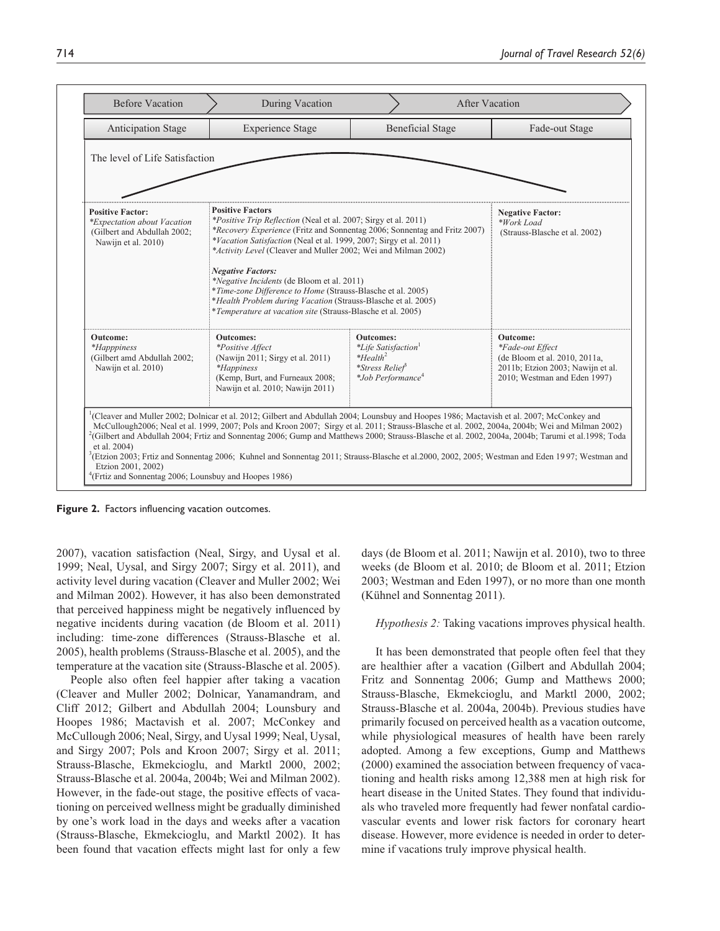| <b>Before Vacation</b>                                                                                       | During Vacation                                                                                                                                                                                                                                                                                                                                                                                                                                                                                                                                                                                                                       |                                                                                                                                    | After Vacation                                                                                                                            |
|--------------------------------------------------------------------------------------------------------------|---------------------------------------------------------------------------------------------------------------------------------------------------------------------------------------------------------------------------------------------------------------------------------------------------------------------------------------------------------------------------------------------------------------------------------------------------------------------------------------------------------------------------------------------------------------------------------------------------------------------------------------|------------------------------------------------------------------------------------------------------------------------------------|-------------------------------------------------------------------------------------------------------------------------------------------|
| <b>Anticipation Stage</b>                                                                                    | <b>Experience Stage</b>                                                                                                                                                                                                                                                                                                                                                                                                                                                                                                                                                                                                               | <b>Beneficial Stage</b>                                                                                                            | Fade-out Stage                                                                                                                            |
| The level of Life Satisfaction                                                                               |                                                                                                                                                                                                                                                                                                                                                                                                                                                                                                                                                                                                                                       |                                                                                                                                    |                                                                                                                                           |
| <b>Positive Factor:</b><br>*Expectation about Vacation<br>(Gilbert and Abdullah 2002;<br>Nawijn et al. 2010) | <b>Positive Factors</b><br><i>*Positive Trip Reflection</i> (Neal et al. 2007; Sirgy et al. 2011)<br>*Recovery Experience (Fritz and Sonnentag 2006; Sonnentag and Fritz 2007)<br>*Vacation Satisfaction (Neal et al. 1999, 2007; Sirgy et al. 2011)<br>*Activity Level (Cleaver and Muller 2002; Wei and Milman 2002)<br><b>Negative Factors:</b><br>*Negative Incidents (de Bloom et al. 2011)<br>*Time-zone Difference to Home (Strauss-Blasche et al. 2005)<br>*Health Problem during Vacation (Strauss-Blasche et al. 2005)<br>*Temperature at vacation site (Strauss-Blasche et al. 2005)                                       | <b>Negative Factor:</b><br>*Work Load<br>(Strauss-Blasche et al. 2002)                                                             |                                                                                                                                           |
| Outcome:<br><i>*Happpiness</i><br>(Gilbert amd Abdullah 2002;<br>Nawijn et al. 2010)                         | <b>Outcomes:</b><br>*Positive Affect<br>(Nawijn 2011; Sirgy et al. 2011)<br><i>*Happiness</i><br>(Kemp, Burt, and Furneaux 2008;<br>Nawijn et al. 2010; Nawijn 2011)                                                                                                                                                                                                                                                                                                                                                                                                                                                                  | <b>Outcomes:</b><br><i>*Life Satisfaction</i> <sup>1</sup><br>$*Health2$<br><i>*Stress Relief</i><br>*Job Performance <sup>4</sup> | <b>Outcome:</b><br>*Fade-out Effect<br>(de Bloom et al. 2010, 2011a,<br>2011b; Etzion 2003; Nawijn et al.<br>2010; Westman and Eden 1997) |
| et al. 2004)<br>Etzion 2001, 2002)<br>$^{4}$ (Frtiz and Sonnentag 2006; Lounsbuy and Hoopes 1986)            | <sup>1</sup> (Cleaver and Muller 2002; Dolnicar et al. 2012; Gilbert and Abdullah 2004; Lounsbuy and Hoopes 1986; Mactavish et al. 2007; McConkey and<br>McCullough2006; Neal et al. 1999, 2007; Pols and Kroon 2007; Sirgy et al. 2011; Strauss-Blasche et al. 2002, 2004a, 2004b; Wei and Milman 2002)<br><sup>2</sup> (Gilbert and Abdullah 2004; Frtiz and Sonnentag 2006; Gump and Matthews 2000; Strauss-Blasche et al. 2002, 2004a, 2004b; Tarumi et al. 1998; Toda<br>${}^{3}$ (Etzion 2003; Frtiz and Sonnentag 2006; Kuhnel and Sonnentag 2011; Strauss-Blasche et al. 2000, 2002, 2005; Westman and Eden 1997; Westman and |                                                                                                                                    |                                                                                                                                           |

**Figure 2.** Factors influencing vacation outcomes.

2007), vacation satisfaction (Neal, Sirgy, and Uysal et al. 1999; Neal, Uysal, and Sirgy 2007; Sirgy et al. 2011), and activity level during vacation (Cleaver and Muller 2002; Wei and Milman 2002). However, it has also been demonstrated that perceived happiness might be negatively influenced by negative incidents during vacation (de Bloom et al. 2011) including: time-zone differences (Strauss-Blasche et al. 2005), health problems (Strauss-Blasche et al. 2005), and the temperature at the vacation site (Strauss-Blasche et al. 2005).

People also often feel happier after taking a vacation (Cleaver and Muller 2002; Dolnicar, Yanamandram, and Cliff 2012; Gilbert and Abdullah 2004; Lounsbury and Hoopes 1986; Mactavish et al. 2007; McConkey and McCullough 2006; Neal, Sirgy, and Uysal 1999; Neal, Uysal, and Sirgy 2007; Pols and Kroon 2007; Sirgy et al. 2011; Strauss-Blasche, Ekmekcioglu, and Marktl 2000, 2002; Strauss-Blasche et al. 2004a, 2004b; Wei and Milman 2002). However, in the fade-out stage, the positive effects of vacationing on perceived wellness might be gradually diminished by one's work load in the days and weeks after a vacation (Strauss-Blasche, Ekmekcioglu, and Marktl 2002). It has been found that vacation effects might last for only a few

days (de Bloom et al. 2011; Nawijn et al. 2010), two to three weeks (de Bloom et al. 2010; de Bloom et al. 2011; Etzion 2003; Westman and Eden 1997), or no more than one month (Kühnel and Sonnentag 2011).

#### *Hypothesis 2:* Taking vacations improves physical health.

It has been demonstrated that people often feel that they are healthier after a vacation (Gilbert and Abdullah 2004; Fritz and Sonnentag 2006; Gump and Matthews 2000; Strauss-Blasche, Ekmekcioglu, and Marktl 2000, 2002; Strauss-Blasche et al. 2004a, 2004b). Previous studies have primarily focused on perceived health as a vacation outcome, while physiological measures of health have been rarely adopted. Among a few exceptions, Gump and Matthews (2000) examined the association between frequency of vacationing and health risks among 12,388 men at high risk for heart disease in the United States. They found that individuals who traveled more frequently had fewer nonfatal cardiovascular events and lower risk factors for coronary heart disease. However, more evidence is needed in order to determine if vacations truly improve physical health.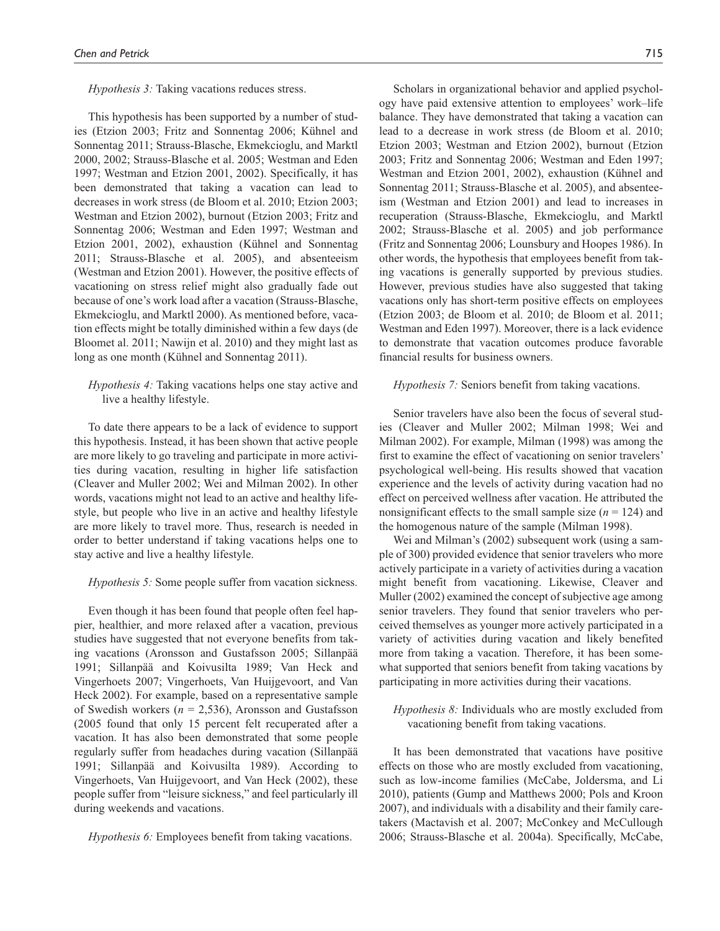#### *Hypothesis 3:* Taking vacations reduces stress.

This hypothesis has been supported by a number of studies (Etzion 2003; Fritz and Sonnentag 2006; Kühnel and Sonnentag 2011; Strauss-Blasche, Ekmekcioglu, and Marktl 2000, 2002; Strauss-Blasche et al. 2005; Westman and Eden 1997; Westman and Etzion 2001, 2002). Specifically, it has been demonstrated that taking a vacation can lead to decreases in work stress (de Bloom et al. 2010; Etzion 2003; Westman and Etzion 2002), burnout (Etzion 2003; Fritz and Sonnentag 2006; Westman and Eden 1997; Westman and Etzion 2001, 2002), exhaustion (Kühnel and Sonnentag 2011; Strauss-Blasche et al. 2005), and absenteeism (Westman and Etzion 2001). However, the positive effects of vacationing on stress relief might also gradually fade out because of one's work load after a vacation (Strauss-Blasche, Ekmekcioglu, and Marktl 2000). As mentioned before, vacation effects might be totally diminished within a few days (de Bloomet al. 2011; Nawijn et al. 2010) and they might last as long as one month (Kühnel and Sonnentag 2011).

## *Hypothesis 4:* Taking vacations helps one stay active and live a healthy lifestyle.

To date there appears to be a lack of evidence to support this hypothesis. Instead, it has been shown that active people are more likely to go traveling and participate in more activities during vacation, resulting in higher life satisfaction (Cleaver and Muller 2002; Wei and Milman 2002). In other words, vacations might not lead to an active and healthy lifestyle, but people who live in an active and healthy lifestyle are more likely to travel more. Thus, research is needed in order to better understand if taking vacations helps one to stay active and live a healthy lifestyle.

#### *Hypothesis 5:* Some people suffer from vacation sickness.

Even though it has been found that people often feel happier, healthier, and more relaxed after a vacation, previous studies have suggested that not everyone benefits from taking vacations (Aronsson and Gustafsson 2005; Sillanpää 1991; Sillanpää and Koivusilta 1989; Van Heck and Vingerhoets 2007; Vingerhoets, Van Huijgevoort, and Van Heck 2002). For example, based on a representative sample of Swedish workers ( $n = 2,536$ ), Aronsson and Gustafsson (2005 found that only 15 percent felt recuperated after a vacation. It has also been demonstrated that some people regularly suffer from headaches during vacation (Sillanpää 1991; Sillanpää and Koivusilta 1989). According to Vingerhoets, Van Huijgevoort, and Van Heck (2002), these people suffer from "leisure sickness," and feel particularly ill during weekends and vacations.

*Hypothesis 6:* Employees benefit from taking vacations.

Scholars in organizational behavior and applied psychology have paid extensive attention to employees' work–life balance. They have demonstrated that taking a vacation can lead to a decrease in work stress (de Bloom et al. 2010; Etzion 2003; Westman and Etzion 2002), burnout (Etzion 2003; Fritz and Sonnentag 2006; Westman and Eden 1997; Westman and Etzion 2001, 2002), exhaustion (Kühnel and Sonnentag 2011; Strauss-Blasche et al. 2005), and absenteeism (Westman and Etzion 2001) and lead to increases in recuperation (Strauss-Blasche, Ekmekcioglu, and Marktl 2002; Strauss-Blasche et al. 2005) and job performance (Fritz and Sonnentag 2006; Lounsbury and Hoopes 1986). In other words, the hypothesis that employees benefit from taking vacations is generally supported by previous studies. However, previous studies have also suggested that taking vacations only has short-term positive effects on employees (Etzion 2003; de Bloom et al. 2010; de Bloom et al. 2011; Westman and Eden 1997). Moreover, there is a lack evidence to demonstrate that vacation outcomes produce favorable financial results for business owners.

#### *Hypothesis 7:* Seniors benefit from taking vacations.

Senior travelers have also been the focus of several studies (Cleaver and Muller 2002; Milman 1998; Wei and Milman 2002). For example, Milman (1998) was among the first to examine the effect of vacationing on senior travelers' psychological well-being. His results showed that vacation experience and the levels of activity during vacation had no effect on perceived wellness after vacation. He attributed the nonsignificant effects to the small sample size  $(n = 124)$  and the homogenous nature of the sample (Milman 1998).

Wei and Milman's (2002) subsequent work (using a sample of 300) provided evidence that senior travelers who more actively participate in a variety of activities during a vacation might benefit from vacationing. Likewise, Cleaver and Muller (2002) examined the concept of subjective age among senior travelers. They found that senior travelers who perceived themselves as younger more actively participated in a variety of activities during vacation and likely benefited more from taking a vacation. Therefore, it has been somewhat supported that seniors benefit from taking vacations by participating in more activities during their vacations.

## *Hypothesis 8:* Individuals who are mostly excluded from vacationing benefit from taking vacations.

It has been demonstrated that vacations have positive effects on those who are mostly excluded from vacationing, such as low-income families (McCabe, Joldersma, and Li 2010), patients (Gump and Matthews 2000; Pols and Kroon 2007), and individuals with a disability and their family caretakers (Mactavish et al. 2007; McConkey and McCullough 2006; Strauss-Blasche et al. 2004a). Specifically, McCabe,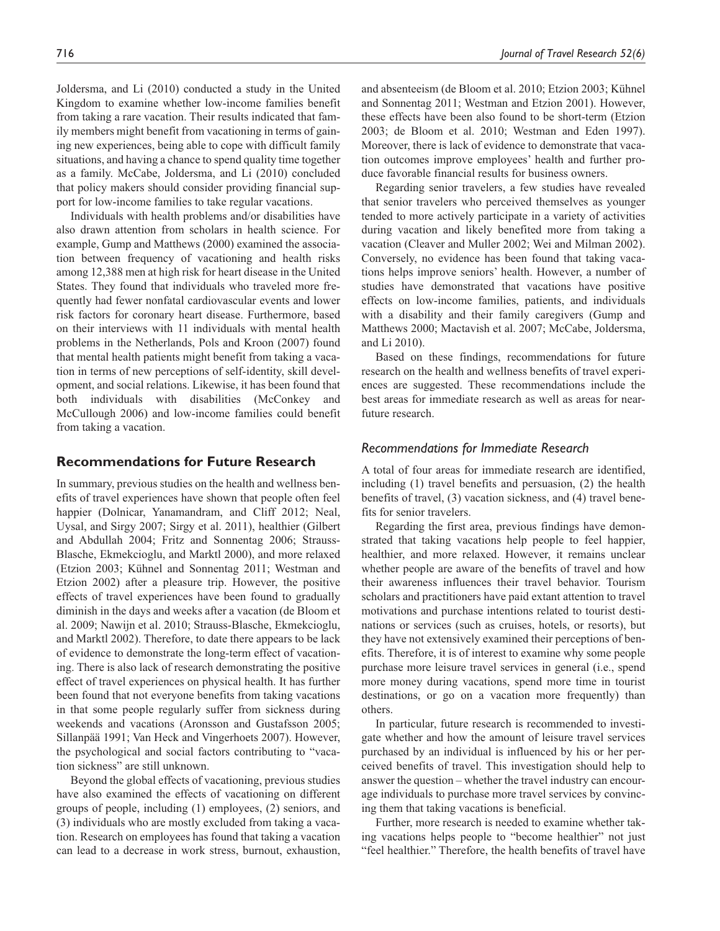Joldersma, and Li (2010) conducted a study in the United Kingdom to examine whether low-income families benefit from taking a rare vacation. Their results indicated that family members might benefit from vacationing in terms of gaining new experiences, being able to cope with difficult family situations, and having a chance to spend quality time together as a family. McCabe, Joldersma, and Li (2010) concluded that policy makers should consider providing financial support for low-income families to take regular vacations.

Individuals with health problems and/or disabilities have also drawn attention from scholars in health science. For example, Gump and Matthews (2000) examined the association between frequency of vacationing and health risks among 12,388 men at high risk for heart disease in the United States. They found that individuals who traveled more frequently had fewer nonfatal cardiovascular events and lower risk factors for coronary heart disease. Furthermore, based on their interviews with 11 individuals with mental health problems in the Netherlands, Pols and Kroon (2007) found that mental health patients might benefit from taking a vacation in terms of new perceptions of self-identity, skill development, and social relations. Likewise, it has been found that both individuals with disabilities (McConkey and McCullough 2006) and low-income families could benefit from taking a vacation.

## **Recommendations for Future Research**

In summary, previous studies on the health and wellness benefits of travel experiences have shown that people often feel happier (Dolnicar, Yanamandram, and Cliff 2012; Neal, Uysal, and Sirgy 2007; Sirgy et al. 2011), healthier (Gilbert and Abdullah 2004; Fritz and Sonnentag 2006; Strauss-Blasche, Ekmekcioglu, and Marktl 2000), and more relaxed (Etzion 2003; Kühnel and Sonnentag 2011; Westman and Etzion 2002) after a pleasure trip. However, the positive effects of travel experiences have been found to gradually diminish in the days and weeks after a vacation (de Bloom et al. 2009; Nawijn et al. 2010; Strauss-Blasche, Ekmekcioglu, and Marktl 2002). Therefore, to date there appears to be lack of evidence to demonstrate the long-term effect of vacationing. There is also lack of research demonstrating the positive effect of travel experiences on physical health. It has further been found that not everyone benefits from taking vacations in that some people regularly suffer from sickness during weekends and vacations (Aronsson and Gustafsson 2005; Sillanpää 1991; Van Heck and Vingerhoets 2007). However, the psychological and social factors contributing to "vacation sickness" are still unknown.

Beyond the global effects of vacationing, previous studies have also examined the effects of vacationing on different groups of people, including (1) employees, (2) seniors, and (3) individuals who are mostly excluded from taking a vacation. Research on employees has found that taking a vacation can lead to a decrease in work stress, burnout, exhaustion,

and absenteeism (de Bloom et al. 2010; Etzion 2003; Kühnel and Sonnentag 2011; Westman and Etzion 2001). However, these effects have been also found to be short-term (Etzion 2003; de Bloom et al. 2010; Westman and Eden 1997). Moreover, there is lack of evidence to demonstrate that vacation outcomes improve employees' health and further produce favorable financial results for business owners.

Regarding senior travelers, a few studies have revealed that senior travelers who perceived themselves as younger tended to more actively participate in a variety of activities during vacation and likely benefited more from taking a vacation (Cleaver and Muller 2002; Wei and Milman 2002). Conversely, no evidence has been found that taking vacations helps improve seniors' health. However, a number of studies have demonstrated that vacations have positive effects on low-income families, patients, and individuals with a disability and their family caregivers (Gump and Matthews 2000; Mactavish et al. 2007; McCabe, Joldersma, and Li 2010).

Based on these findings, recommendations for future research on the health and wellness benefits of travel experiences are suggested. These recommendations include the best areas for immediate research as well as areas for nearfuture research.

## *Recommendations for Immediate Research*

A total of four areas for immediate research are identified, including (1) travel benefits and persuasion, (2) the health benefits of travel, (3) vacation sickness, and (4) travel benefits for senior travelers.

Regarding the first area, previous findings have demonstrated that taking vacations help people to feel happier, healthier, and more relaxed. However, it remains unclear whether people are aware of the benefits of travel and how their awareness influences their travel behavior. Tourism scholars and practitioners have paid extant attention to travel motivations and purchase intentions related to tourist destinations or services (such as cruises, hotels, or resorts), but they have not extensively examined their perceptions of benefits. Therefore, it is of interest to examine why some people purchase more leisure travel services in general (i.e., spend more money during vacations, spend more time in tourist destinations, or go on a vacation more frequently) than others.

In particular, future research is recommended to investigate whether and how the amount of leisure travel services purchased by an individual is influenced by his or her perceived benefits of travel. This investigation should help to answer the question – whether the travel industry can encourage individuals to purchase more travel services by convincing them that taking vacations is beneficial.

Further, more research is needed to examine whether taking vacations helps people to "become healthier" not just "feel healthier." Therefore, the health benefits of travel have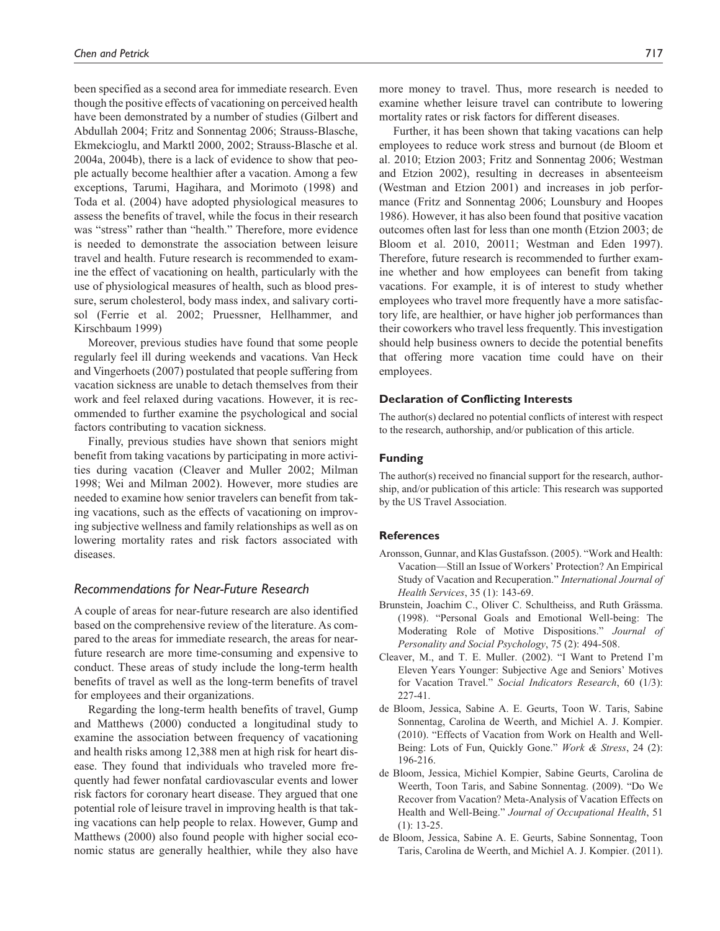been specified as a second area for immediate research. Even though the positive effects of vacationing on perceived health have been demonstrated by a number of studies (Gilbert and Abdullah 2004; Fritz and Sonnentag 2006; Strauss-Blasche, Ekmekcioglu, and Marktl 2000, 2002; Strauss-Blasche et al. 2004a, 2004b), there is a lack of evidence to show that people actually become healthier after a vacation. Among a few exceptions, Tarumi, Hagihara, and Morimoto (1998) and Toda et al. (2004) have adopted physiological measures to assess the benefits of travel, while the focus in their research was "stress" rather than "health." Therefore, more evidence is needed to demonstrate the association between leisure travel and health. Future research is recommended to examine the effect of vacationing on health, particularly with the use of physiological measures of health, such as blood pressure, serum cholesterol, body mass index, and salivary cortisol (Ferrie et al. 2002; Pruessner, Hellhammer, and Kirschbaum 1999)

Moreover, previous studies have found that some people regularly feel ill during weekends and vacations. Van Heck and Vingerhoets (2007) postulated that people suffering from vacation sickness are unable to detach themselves from their work and feel relaxed during vacations. However, it is recommended to further examine the psychological and social factors contributing to vacation sickness.

Finally, previous studies have shown that seniors might benefit from taking vacations by participating in more activities during vacation (Cleaver and Muller 2002; Milman 1998; Wei and Milman 2002). However, more studies are needed to examine how senior travelers can benefit from taking vacations, such as the effects of vacationing on improving subjective wellness and family relationships as well as on lowering mortality rates and risk factors associated with diseases.

## *Recommendations for Near-Future Research*

A couple of areas for near-future research are also identified based on the comprehensive review of the literature. As compared to the areas for immediate research, the areas for nearfuture research are more time-consuming and expensive to conduct. These areas of study include the long-term health benefits of travel as well as the long-term benefits of travel for employees and their organizations.

Regarding the long-term health benefits of travel, Gump and Matthews (2000) conducted a longitudinal study to examine the association between frequency of vacationing and health risks among 12,388 men at high risk for heart disease. They found that individuals who traveled more frequently had fewer nonfatal cardiovascular events and lower risk factors for coronary heart disease. They argued that one potential role of leisure travel in improving health is that taking vacations can help people to relax. However, Gump and Matthews (2000) also found people with higher social economic status are generally healthier, while they also have more money to travel. Thus, more research is needed to examine whether leisure travel can contribute to lowering mortality rates or risk factors for different diseases.

Further, it has been shown that taking vacations can help employees to reduce work stress and burnout (de Bloom et al. 2010; Etzion 2003; Fritz and Sonnentag 2006; Westman and Etzion 2002), resulting in decreases in absenteeism (Westman and Etzion 2001) and increases in job performance (Fritz and Sonnentag 2006; Lounsbury and Hoopes 1986). However, it has also been found that positive vacation outcomes often last for less than one month (Etzion 2003; de Bloom et al. 2010, 20011; Westman and Eden 1997). Therefore, future research is recommended to further examine whether and how employees can benefit from taking vacations. For example, it is of interest to study whether employees who travel more frequently have a more satisfactory life, are healthier, or have higher job performances than their coworkers who travel less frequently. This investigation should help business owners to decide the potential benefits that offering more vacation time could have on their employees.

#### **Declaration of Conflicting Interests**

The author(s) declared no potential conflicts of interest with respect to the research, authorship, and/or publication of this article.

#### **Funding**

The author(s) received no financial support for the research, authorship, and/or publication of this article: This research was supported by the US Travel Association.

#### **References**

- Aronsson, Gunnar, and Klas Gustafsson. (2005). "Work and Health: Vacation—Still an Issue of Workers' Protection? An Empirical Study of Vacation and Recuperation." *International Journal of Health Services*, 35 (1): 143-69.
- Brunstein, Joachim C., Oliver C. Schultheiss, and Ruth Grässma. (1998). "Personal Goals and Emotional Well-being: The Moderating Role of Motive Dispositions." *Journal of Personality and Social Psychology*, 75 (2): 494-508.
- Cleaver, M., and T. E. Muller. (2002). "I Want to Pretend I'm Eleven Years Younger: Subjective Age and Seniors' Motives for Vacation Travel." *Social Indicators Research*, 60 (1/3): 227-41.
- de Bloom, Jessica, Sabine A. E. Geurts, Toon W. Taris, Sabine Sonnentag, Carolina de Weerth, and Michiel A. J. Kompier. (2010). "Effects of Vacation from Work on Health and Well-Being: Lots of Fun, Quickly Gone." *Work & Stress*, 24 (2): 196-216.
- de Bloom, Jessica, Michiel Kompier, Sabine Geurts, Carolina de Weerth, Toon Taris, and Sabine Sonnentag. (2009). "Do We Recover from Vacation? Meta-Analysis of Vacation Effects on Health and Well-Being." *Journal of Occupational Health*, 51 (1): 13-25.
- de Bloom, Jessica, Sabine A. E. Geurts, Sabine Sonnentag, Toon Taris, Carolina de Weerth, and Michiel A. J. Kompier. (2011).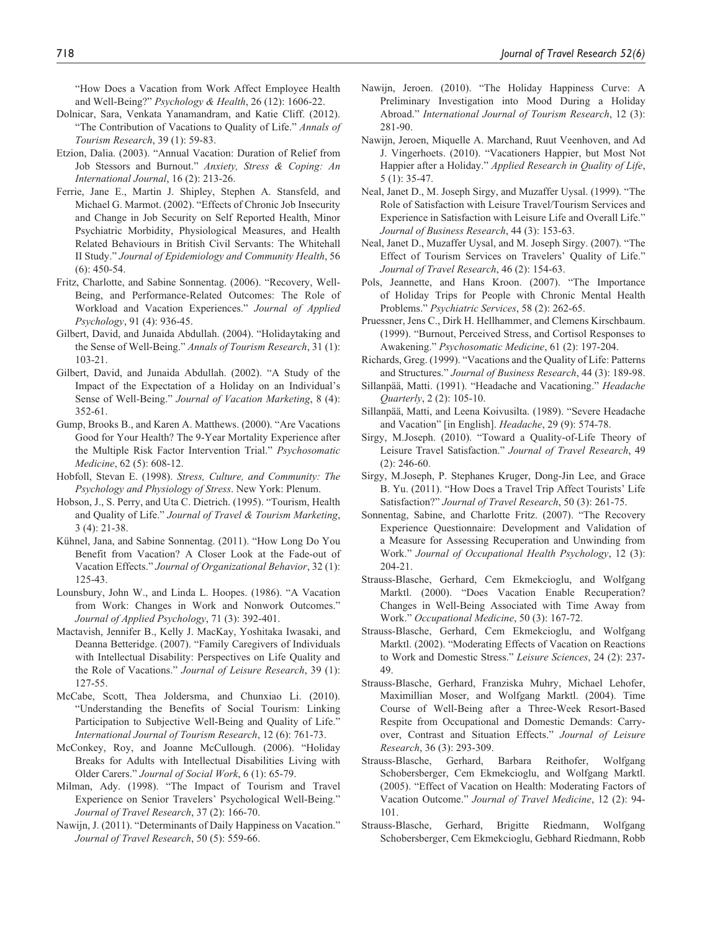"How Does a Vacation from Work Affect Employee Health and Well-Being?" *Psychology & Health*, 26 (12): 1606-22.

- Dolnicar, Sara, Venkata Yanamandram, and Katie Cliff. (2012). "The Contribution of Vacations to Quality of Life." *Annals of Tourism Research*, 39 (1): 59-83.
- Etzion, Dalia. (2003). "Annual Vacation: Duration of Relief from Job Stessors and Burnout." *Anxiety, Stress & Coping: An International Journal*, 16 (2): 213-26.
- Ferrie, Jane E., Martin J. Shipley, Stephen A. Stansfeld, and Michael G. Marmot. (2002). "Effects of Chronic Job Insecurity and Change in Job Security on Self Reported Health, Minor Psychiatric Morbidity, Physiological Measures, and Health Related Behaviours in British Civil Servants: The Whitehall II Study." *Journal of Epidemiology and Community Health*, 56 (6): 450-54.
- Fritz, Charlotte, and Sabine Sonnentag. (2006). "Recovery, Well-Being, and Performance-Related Outcomes: The Role of Workload and Vacation Experiences." *Journal of Applied Psychology*, 91 (4): 936-45.
- Gilbert, David, and Junaida Abdullah. (2004). "Holidaytaking and the Sense of Well-Being." *Annals of Tourism Research*, 31 (1): 103-21.
- Gilbert, David, and Junaida Abdullah. (2002). "A Study of the Impact of the Expectation of a Holiday on an Individual's Sense of Well-Being." *Journal of Vacation Marketing*, 8 (4): 352-61.
- Gump, Brooks B., and Karen A. Matthews. (2000). "Are Vacations Good for Your Health? The 9-Year Mortality Experience after the Multiple Risk Factor Intervention Trial." *Psychosomatic Medicine*, 62 (5): 608-12.
- Hobfoll, Stevan E. (1998). *Stress, Culture, and Community: The Psychology and Physiology of Stress*. New York: Plenum.
- Hobson, J., S. Perry, and Uta C. Dietrich. (1995). "Tourism, Health and Quality of Life." *Journal of Travel & Tourism Marketing*, 3 (4): 21-38.
- Kühnel, Jana, and Sabine Sonnentag. (2011). "How Long Do You Benefit from Vacation? A Closer Look at the Fade-out of Vacation Effects." *Journal of Organizational Behavior*, 32 (1): 125-43.
- Lounsbury, John W., and Linda L. Hoopes. (1986). "A Vacation from Work: Changes in Work and Nonwork Outcomes." *Journal of Applied Psychology*, 71 (3): 392-401.
- Mactavish, Jennifer B., Kelly J. MacKay, Yoshitaka Iwasaki, and Deanna Betteridge. (2007). "Family Caregivers of Individuals with Intellectual Disability: Perspectives on Life Quality and the Role of Vacations." *Journal of Leisure Research*, 39 (1): 127-55.
- McCabe, Scott, Thea Joldersma, and Chunxiao Li. (2010). "Understanding the Benefits of Social Tourism: Linking Participation to Subjective Well-Being and Quality of Life." *International Journal of Tourism Research*, 12 (6): 761-73.
- McConkey, Roy, and Joanne McCullough. (2006). "Holiday Breaks for Adults with Intellectual Disabilities Living with Older Carers." *Journal of Social Work*, 6 (1): 65-79.
- Milman, Ady. (1998). "The Impact of Tourism and Travel Experience on Senior Travelers' Psychological Well-Being." *Journal of Travel Research*, 37 (2): 166-70.
- Nawijn, J. (2011). "Determinants of Daily Happiness on Vacation." *Journal of Travel Research*, 50 (5): 559-66.
- Nawijn, Jeroen. (2010). "The Holiday Happiness Curve: A Preliminary Investigation into Mood During a Holiday Abroad." *International Journal of Tourism Research*, 12 (3): 281-90.
- Nawijn, Jeroen, Miquelle A. Marchand, Ruut Veenhoven, and Ad J. Vingerhoets. (2010). "Vacationers Happier, but Most Not Happier after a Holiday." *Applied Research in Quality of Life*, 5 (1): 35-47.
- Neal, Janet D., M. Joseph Sirgy, and Muzaffer Uysal. (1999). "The Role of Satisfaction with Leisure Travel/Tourism Services and Experience in Satisfaction with Leisure Life and Overall Life." *Journal of Business Research*, 44 (3): 153-63.
- Neal, Janet D., Muzaffer Uysal, and M. Joseph Sirgy. (2007). "The Effect of Tourism Services on Travelers' Quality of Life." *Journal of Travel Research*, 46 (2): 154-63.
- Pols, Jeannette, and Hans Kroon. (2007). "The Importance of Holiday Trips for People with Chronic Mental Health Problems." *Psychiatric Services*, 58 (2): 262-65.
- Pruessner, Jens C., Dirk H. Hellhammer, and Clemens Kirschbaum. (1999). "Burnout, Perceived Stress, and Cortisol Responses to Awakening." *Psychosomatic Medicine*, 61 (2): 197-204.
- Richards, Greg. (1999). "Vacations and the Quality of Life: Patterns and Structures." *Journal of Business Research*, 44 (3): 189-98.
- Sillanpää, Matti. (1991). "Headache and Vacationing." *Headache Quarterly*, 2 (2): 105-10.
- Sillanpää, Matti, and Leena Koivusilta. (1989). "Severe Headache and Vacation" [in English]. *Headache*, 29 (9): 574-78.
- Sirgy, M.Joseph. (2010). "Toward a Quality-of-Life Theory of Leisure Travel Satisfaction." *Journal of Travel Research*, 49 (2): 246-60.
- Sirgy, M.Joseph, P. Stephanes Kruger, Dong-Jin Lee, and Grace B. Yu. (2011). "How Does a Travel Trip Affect Tourists' Life Satisfaction?" *Journal of Travel Research*, 50 (3): 261-75.
- Sonnentag, Sabine, and Charlotte Fritz. (2007). "The Recovery Experience Questionnaire: Development and Validation of a Measure for Assessing Recuperation and Unwinding from Work." *Journal of Occupational Health Psychology*, 12 (3): 204-21.
- Strauss-Blasche, Gerhard, Cem Ekmekcioglu, and Wolfgang Marktl. (2000). "Does Vacation Enable Recuperation? Changes in Well-Being Associated with Time Away from Work." *Occupational Medicine*, 50 (3): 167-72.
- Strauss-Blasche, Gerhard, Cem Ekmekcioglu, and Wolfgang Marktl. (2002). "Moderating Effects of Vacation on Reactions to Work and Domestic Stress." *Leisure Sciences*, 24 (2): 237- 49.
- Strauss-Blasche, Gerhard, Franziska Muhry, Michael Lehofer, Maximillian Moser, and Wolfgang Marktl. (2004). Time Course of Well-Being after a Three-Week Resort-Based Respite from Occupational and Domestic Demands: Carryover, Contrast and Situation Effects." *Journal of Leisure Research*, 36 (3): 293-309.
- Strauss-Blasche, Gerhard, Barbara Reithofer, Wolfgang Schobersberger, Cem Ekmekcioglu, and Wolfgang Marktl. (2005). "Effect of Vacation on Health: Moderating Factors of Vacation Outcome." *Journal of Travel Medicine*, 12 (2): 94- 101.
- Strauss-Blasche, Gerhard, Brigitte Riedmann, Wolfgang Schobersberger, Cem Ekmekcioglu, Gebhard Riedmann, Robb